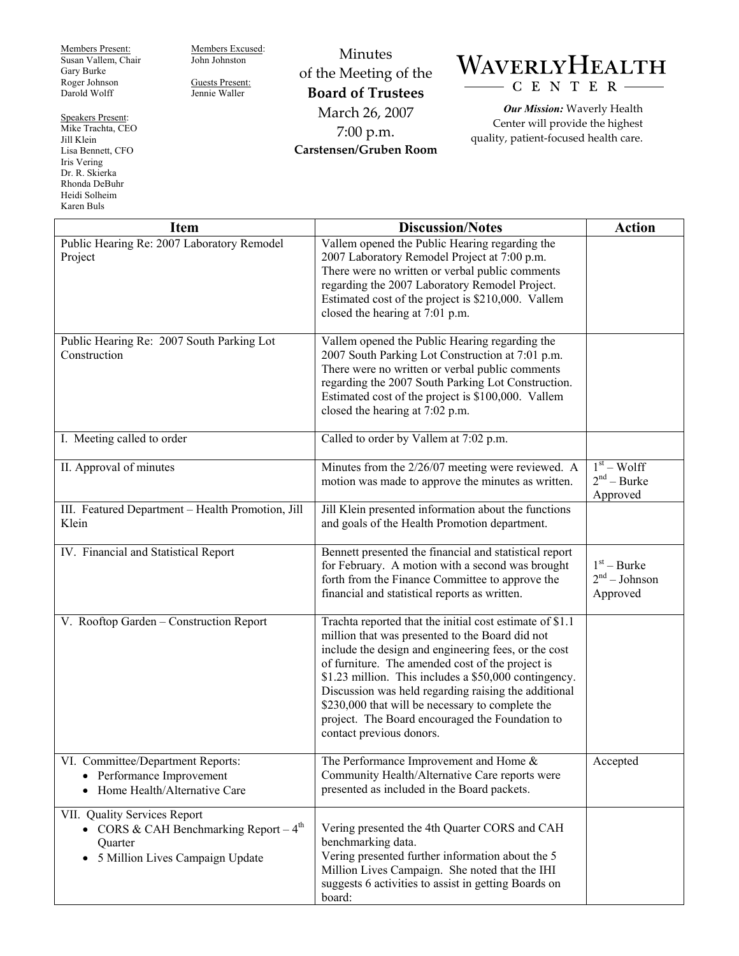Members Present: Susan Vallem, Chair Gary Burke Roger Johnson Darold Wolff

Speakers Present: Mike Trachta, CEO Jill Klein Lisa Bennett, CFO Iris Vering Dr. R. Skierka Rhonda DeBuhr Heidi Solheim Karen Buls

Members Excused: John Johnston Guests Present:

Jennie Waller

of the Meeting of the **Board of Trustees**  March 26, 2007 7:00 p.m. **Carstensen/Gruben Room** 

Minutes

## WAVERLYHEALTH C E N T E R

*Our Mission:* Waverly Health Center will provide the highest quality, patient-focused health care.

| <b>Item</b>                                                                                                                                  | <b>Discussion/Notes</b>                                                                                                                                                                                                                                                                                                                                                                                                                                                     | <b>Action</b>                                |
|----------------------------------------------------------------------------------------------------------------------------------------------|-----------------------------------------------------------------------------------------------------------------------------------------------------------------------------------------------------------------------------------------------------------------------------------------------------------------------------------------------------------------------------------------------------------------------------------------------------------------------------|----------------------------------------------|
| Public Hearing Re: 2007 Laboratory Remodel<br>Project                                                                                        | Vallem opened the Public Hearing regarding the<br>2007 Laboratory Remodel Project at 7:00 p.m.<br>There were no written or verbal public comments<br>regarding the 2007 Laboratory Remodel Project.<br>Estimated cost of the project is \$210,000. Vallem<br>closed the hearing at 7:01 p.m.                                                                                                                                                                                |                                              |
| Public Hearing Re: 2007 South Parking Lot<br>Construction                                                                                    | Vallem opened the Public Hearing regarding the<br>2007 South Parking Lot Construction at 7:01 p.m.<br>There were no written or verbal public comments<br>regarding the 2007 South Parking Lot Construction.<br>Estimated cost of the project is \$100,000. Vallem<br>closed the hearing at 7:02 p.m.                                                                                                                                                                        |                                              |
| I. Meeting called to order                                                                                                                   | Called to order by Vallem at 7:02 p.m.                                                                                                                                                                                                                                                                                                                                                                                                                                      |                                              |
| II. Approval of minutes                                                                                                                      | Minutes from the 2/26/07 meeting were reviewed. A<br>motion was made to approve the minutes as written.                                                                                                                                                                                                                                                                                                                                                                     | $1st - Wolf$<br>$2nd - Burke$<br>Approved    |
| III. Featured Department - Health Promotion, Jill<br>Klein                                                                                   | Jill Klein presented information about the functions<br>and goals of the Health Promotion department.                                                                                                                                                                                                                                                                                                                                                                       |                                              |
| IV. Financial and Statistical Report                                                                                                         | Bennett presented the financial and statistical report<br>for February. A motion with a second was brought<br>forth from the Finance Committee to approve the<br>financial and statistical reports as written.                                                                                                                                                                                                                                                              | $1st - Burke$<br>$2nd - Johnson$<br>Approved |
| V. Rooftop Garden - Construction Report                                                                                                      | Trachta reported that the initial cost estimate of \$1.1<br>million that was presented to the Board did not<br>include the design and engineering fees, or the cost<br>of furniture. The amended cost of the project is<br>\$1.23 million. This includes a \$50,000 contingency.<br>Discussion was held regarding raising the additional<br>\$230,000 that will be necessary to complete the<br>project. The Board encouraged the Foundation to<br>contact previous donors. |                                              |
| VI. Committee/Department Reports:<br>Performance Improvement<br>$\bullet$<br>Home Health/Alternative Care<br>$\bullet$                       | The Performance Improvement and Home &<br>Community Health/Alternative Care reports were<br>presented as included in the Board packets.                                                                                                                                                                                                                                                                                                                                     | Accepted                                     |
| VII. Quality Services Report<br>• CORS & CAH Benchmarking Report $-4^{\text{th}}$<br>Quarter<br>5 Million Lives Campaign Update<br>$\bullet$ | Vering presented the 4th Quarter CORS and CAH<br>benchmarking data.<br>Vering presented further information about the 5<br>Million Lives Campaign. She noted that the IHI<br>suggests 6 activities to assist in getting Boards on<br>board:                                                                                                                                                                                                                                 |                                              |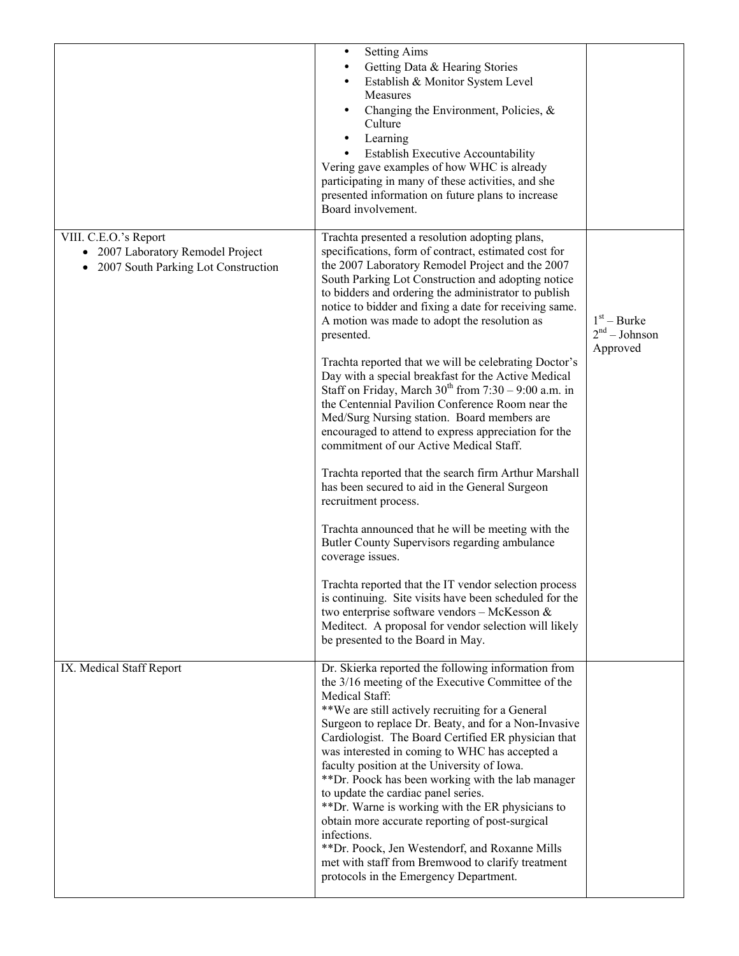|                                                                                                   | <b>Setting Aims</b><br>$\bullet$<br>Getting Data & Hearing Stories<br>Establish & Monitor System Level<br>Measures<br>Changing the Environment, Policies, &<br>Culture<br>Learning<br><b>Establish Executive Accountability</b><br>Vering gave examples of how WHC is already<br>participating in many of these activities, and she<br>presented information on future plans to increase<br>Board involvement.                                                                                                                                                                                                                                                                                                                                                                                                                                                                                                                                                                                                                                                                                                                                                                                                                                                                                                    |                                              |
|---------------------------------------------------------------------------------------------------|-------------------------------------------------------------------------------------------------------------------------------------------------------------------------------------------------------------------------------------------------------------------------------------------------------------------------------------------------------------------------------------------------------------------------------------------------------------------------------------------------------------------------------------------------------------------------------------------------------------------------------------------------------------------------------------------------------------------------------------------------------------------------------------------------------------------------------------------------------------------------------------------------------------------------------------------------------------------------------------------------------------------------------------------------------------------------------------------------------------------------------------------------------------------------------------------------------------------------------------------------------------------------------------------------------------------|----------------------------------------------|
| VIII. C.E.O.'s Report<br>• 2007 Laboratory Remodel Project<br>2007 South Parking Lot Construction | Trachta presented a resolution adopting plans,<br>specifications, form of contract, estimated cost for<br>the 2007 Laboratory Remodel Project and the 2007<br>South Parking Lot Construction and adopting notice<br>to bidders and ordering the administrator to publish<br>notice to bidder and fixing a date for receiving same.<br>A motion was made to adopt the resolution as<br>presented.<br>Trachta reported that we will be celebrating Doctor's<br>Day with a special breakfast for the Active Medical<br>Staff on Friday, March $30th$ from $7:30 - 9:00$ a.m. in<br>the Centennial Pavilion Conference Room near the<br>Med/Surg Nursing station. Board members are<br>encouraged to attend to express appreciation for the<br>commitment of our Active Medical Staff.<br>Trachta reported that the search firm Arthur Marshall<br>has been secured to aid in the General Surgeon<br>recruitment process.<br>Trachta announced that he will be meeting with the<br>Butler County Supervisors regarding ambulance<br>coverage issues.<br>Trachta reported that the IT vendor selection process<br>is continuing. Site visits have been scheduled for the<br>two enterprise software vendors - McKesson &<br>Meditect. A proposal for vendor selection will likely<br>be presented to the Board in May. | $1st - Burke$<br>$2nd - Johnson$<br>Approved |
| IX. Medical Staff Report                                                                          | Dr. Skierka reported the following information from<br>the 3/16 meeting of the Executive Committee of the<br>Medical Staff:<br>**We are still actively recruiting for a General<br>Surgeon to replace Dr. Beaty, and for a Non-Invasive<br>Cardiologist. The Board Certified ER physician that<br>was interested in coming to WHC has accepted a<br>faculty position at the University of Iowa.<br>**Dr. Poock has been working with the lab manager<br>to update the cardiac panel series.<br>**Dr. Warne is working with the ER physicians to<br>obtain more accurate reporting of post-surgical<br>infections.<br>**Dr. Poock, Jen Westendorf, and Roxanne Mills<br>met with staff from Bremwood to clarify treatment<br>protocols in the Emergency Department.                                                                                                                                                                                                                                                                                                                                                                                                                                                                                                                                                |                                              |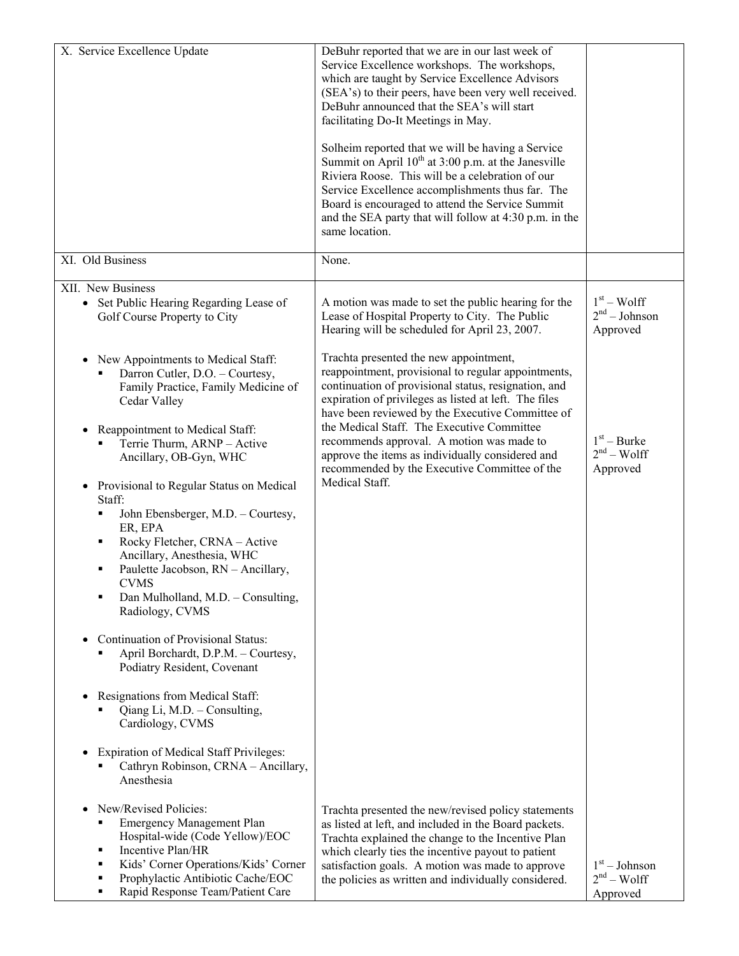| X. Service Excellence Update                                                                                                                                                                                                                                                                           | DeBuhr reported that we are in our last week of<br>Service Excellence workshops. The workshops,<br>which are taught by Service Excellence Advisors<br>(SEA's) to their peers, have been very well received.<br>DeBuhr announced that the SEA's will start<br>facilitating Do-It Meetings in May.<br>Solheim reported that we will be having a Service<br>Summit on April $10^{th}$ at 3:00 p.m. at the Janesville<br>Riviera Roose. This will be a celebration of our<br>Service Excellence accomplishments thus far. The<br>Board is encouraged to attend the Service Summit<br>and the SEA party that will follow at 4:30 p.m. in the<br>same location. |                                                       |
|--------------------------------------------------------------------------------------------------------------------------------------------------------------------------------------------------------------------------------------------------------------------------------------------------------|-----------------------------------------------------------------------------------------------------------------------------------------------------------------------------------------------------------------------------------------------------------------------------------------------------------------------------------------------------------------------------------------------------------------------------------------------------------------------------------------------------------------------------------------------------------------------------------------------------------------------------------------------------------|-------------------------------------------------------|
| XI. Old Business                                                                                                                                                                                                                                                                                       | None.                                                                                                                                                                                                                                                                                                                                                                                                                                                                                                                                                                                                                                                     |                                                       |
| XII. New Business<br>• Set Public Hearing Regarding Lease of<br>Golf Course Property to City                                                                                                                                                                                                           | A motion was made to set the public hearing for the<br>Lease of Hospital Property to City. The Public<br>Hearing will be scheduled for April 23, 2007.                                                                                                                                                                                                                                                                                                                                                                                                                                                                                                    | $1st - Wolf$<br>2 <sup>nd</sup> – Johnson<br>Approved |
| New Appointments to Medical Staff:<br>$\bullet$<br>Darron Cutler, D.O. - Courtesy,<br>Family Practice, Family Medicine of<br>Cedar Valley<br>Reappointment to Medical Staff:<br>Terrie Thurm, ARNP - Active<br>Ancillary, OB-Gyn, WHC                                                                  | Trachta presented the new appointment,<br>reappointment, provisional to regular appointments,<br>continuation of provisional status, resignation, and<br>expiration of privileges as listed at left. The files<br>have been reviewed by the Executive Committee of<br>the Medical Staff. The Executive Committee<br>recommends approval. A motion was made to<br>approve the items as individually considered and<br>recommended by the Executive Committee of the<br>Medical Staff.                                                                                                                                                                      | $1st - Burke$<br>$2nd - Wolf$<br>Approved             |
| Provisional to Regular Status on Medical<br>$\bullet$<br>Staff:<br>John Ebensberger, M.D. - Courtesy,<br>٠<br>ER, EPA<br>Rocky Fletcher, CRNA - Active<br>٠<br>Ancillary, Anesthesia, WHC<br>Paulette Jacobson, RN - Ancillary,<br>٠<br>CVMS.<br>Dan Mulholland, M.D. - Consulting,<br>Radiology, CVMS |                                                                                                                                                                                                                                                                                                                                                                                                                                                                                                                                                                                                                                                           |                                                       |
| Continuation of Provisional Status:<br>$\bullet$<br>April Borchardt, D.P.M. - Courtesy,<br>Podiatry Resident, Covenant                                                                                                                                                                                 |                                                                                                                                                                                                                                                                                                                                                                                                                                                                                                                                                                                                                                                           |                                                       |
| Resignations from Medical Staff:<br>٠<br>Qiang Li, M.D. - Consulting,<br>Cardiology, CVMS                                                                                                                                                                                                              |                                                                                                                                                                                                                                                                                                                                                                                                                                                                                                                                                                                                                                                           |                                                       |
| <b>Expiration of Medical Staff Privileges:</b><br>Cathryn Robinson, CRNA - Ancillary,<br>Anesthesia                                                                                                                                                                                                    |                                                                                                                                                                                                                                                                                                                                                                                                                                                                                                                                                                                                                                                           |                                                       |
| New/Revised Policies:<br>$\bullet$<br><b>Emergency Management Plan</b><br>Hospital-wide (Code Yellow)/EOC<br>Incentive Plan/HR<br>٠<br>Kids' Corner Operations/Kids' Corner<br>٠<br>Prophylactic Antibiotic Cache/EOC<br>٠<br>Rapid Response Team/Patient Care                                         | Trachta presented the new/revised policy statements<br>as listed at left, and included in the Board packets.<br>Trachta explained the change to the Incentive Plan<br>which clearly ties the incentive payout to patient<br>satisfaction goals. A motion was made to approve<br>the policies as written and individually considered.                                                                                                                                                                                                                                                                                                                      | $1st - Johnson$<br>$2nd - Wolf$<br>Approved           |